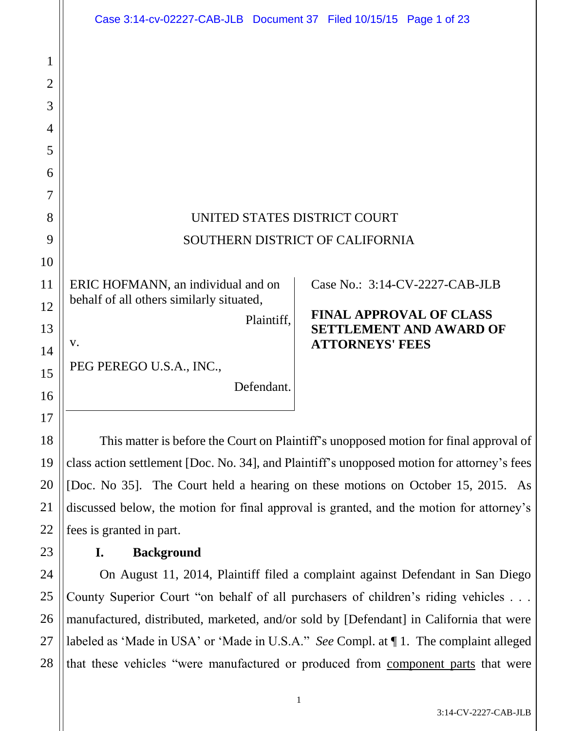|                     | Case 3:14-cv-02227-CAB-JLB Document 37 Filed 10/15/15 Page 1 of 23                                               |
|---------------------|------------------------------------------------------------------------------------------------------------------|
| 1<br>$\overline{2}$ |                                                                                                                  |
| 3<br>4              |                                                                                                                  |
| 5                   |                                                                                                                  |
| 6                   |                                                                                                                  |
| 7                   |                                                                                                                  |
| 8                   | UNITED STATES DISTRICT COURT                                                                                     |
| 9                   | SOUTHERN DISTRICT OF CALIFORNIA                                                                                  |
| 10                  |                                                                                                                  |
| 11                  | ERIC HOFMANN, an individual and on<br>Case No.: 3:14-CV-2227-CAB-JLB<br>behalf of all others similarly situated, |
| 12                  | <b>FINAL APPROVAL OF CLASS</b><br>Plaintiff,                                                                     |
| 13                  | <b>SETTLEMENT AND AWARD OF</b><br><b>ATTORNEYS' FEES</b><br>V.                                                   |
| 14                  | PEG PEREGO U.S.A., INC.,                                                                                         |
| 15                  | Defendant.                                                                                                       |
| 16                  |                                                                                                                  |
| 17                  |                                                                                                                  |
| 18                  | This matter is before the Court on Plaintiff's unopposed motion for final approval of                            |
| 19                  | class action settlement [Doc. No. 34], and Plaintiff's unopposed motion for attorney's fees                      |
| 20                  | [Doc. No 35]. The Court held a hearing on these motions on October 15, 2015. As                                  |
| 21                  | discussed below, the motion for final approval is granted, and the motion for attorney's                         |
| 22                  | fees is granted in part.                                                                                         |
| 23                  | <b>Background</b><br>I.                                                                                          |
| 24                  | On August 11, 2014, Plaintiff filed a complaint against Defendant in San Diego                                   |
| 25                  | County Superior Court "on behalf of all purchasers of children's riding vehicles                                 |
| 26                  | manufactured, distributed, marketed, and/or sold by [Defendant] in California that were                          |
| 27                  | labeled as 'Made in USA' or 'Made in U.S.A." See Compl. at 1. The complaint alleged                              |

3:14-CV-2227-CAB-JLB

that these vehicles "were manufactured or produced from **component parts** that were

28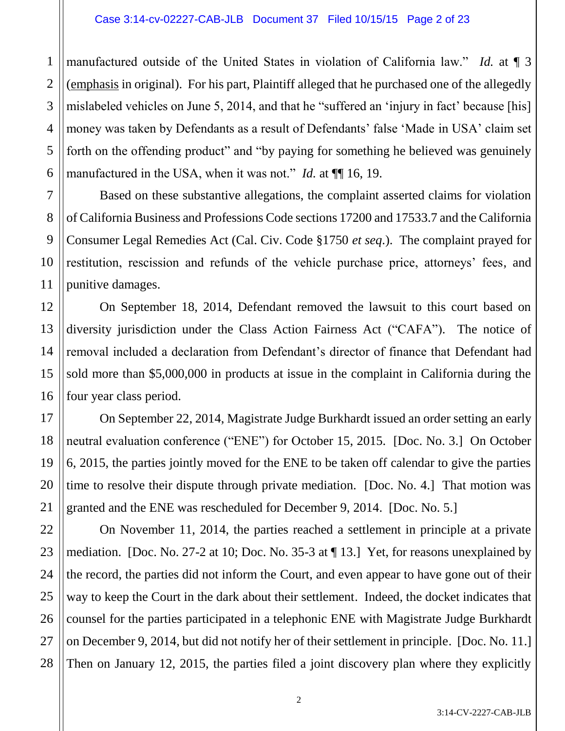1 manufactured outside of the United States in violation of California law." *Id.* at ¶ 3 (emphasis in original). For his part, Plaintiff alleged that he purchased one of the allegedly mislabeled vehicles on June 5, 2014, and that he "suffered an 'injury in fact' because [his] money was taken by Defendants as a result of Defendants' false 'Made in USA' claim set forth on the offending product" and "by paying for something he believed was genuinely manufactured in the USA, when it was not." *Id.* at  $\P$  16, 19.

Based on these substantive allegations, the complaint asserted claims for violation of California Business and Professions Code sections 17200 and 17533.7 and the California Consumer Legal Remedies Act (Cal. Civ. Code §1750 *et seq*.). The complaint prayed for restitution, rescission and refunds of the vehicle purchase price, attorneys' fees, and punitive damages.

On September 18, 2014, Defendant removed the lawsuit to this court based on diversity jurisdiction under the Class Action Fairness Act ("CAFA"). The notice of removal included a declaration from Defendant's director of finance that Defendant had sold more than \$5,000,000 in products at issue in the complaint in California during the four year class period.

On September 22, 2014, Magistrate Judge Burkhardt issued an order setting an early neutral evaluation conference ("ENE") for October 15, 2015. [Doc. No. 3.] On October 6, 2015, the parties jointly moved for the ENE to be taken off calendar to give the parties time to resolve their dispute through private mediation. [Doc. No. 4.] That motion was granted and the ENE was rescheduled for December 9, 2014. [Doc. No. 5.]

On November 11, 2014, the parties reached a settlement in principle at a private mediation. [Doc. No. 27-2 at 10; Doc. No. 35-3 at ¶ 13.] Yet, for reasons unexplained by the record, the parties did not inform the Court, and even appear to have gone out of their way to keep the Court in the dark about their settlement. Indeed, the docket indicates that counsel for the parties participated in a telephonic ENE with Magistrate Judge Burkhardt on December 9, 2014, but did not notify her of their settlement in principle. [Doc. No. 11.] Then on January 12, 2015, the parties filed a joint discovery plan where they explicitly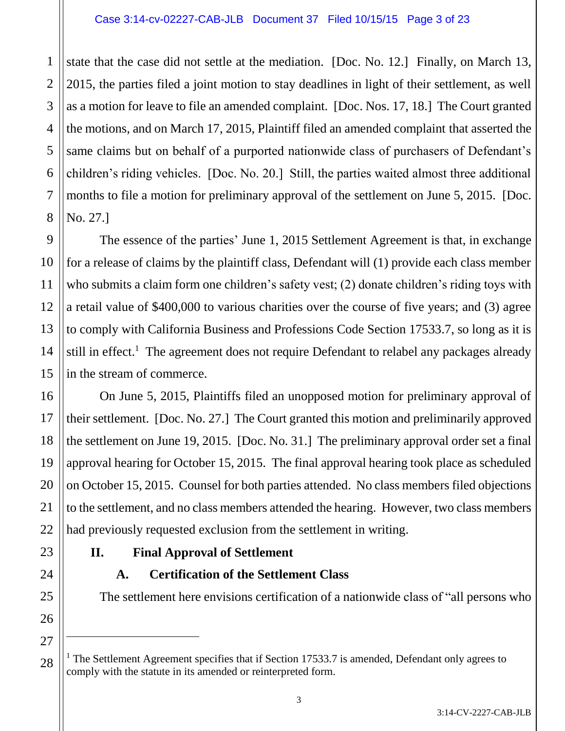#### Case 3:14-cv-02227-CAB-JLB Document 37 Filed 10/15/15 Page 3 of 23

1 2 3 state that the case did not settle at the mediation. [Doc. No. 12.] Finally, on March 13, 2015, the parties filed a joint motion to stay deadlines in light of their settlement, as well as a motion for leave to file an amended complaint. [Doc. Nos. 17, 18.] The Court granted the motions, and on March 17, 2015, Plaintiff filed an amended complaint that asserted the same claims but on behalf of a purported nationwide class of purchasers of Defendant's children's riding vehicles. [Doc. No. 20.] Still, the parties waited almost three additional months to file a motion for preliminary approval of the settlement on June 5, 2015. [Doc. No. 27.]

The essence of the parties' June 1, 2015 Settlement Agreement is that, in exchange for a release of claims by the plaintiff class, Defendant will (1) provide each class member who submits a claim form one children's safety vest; (2) donate children's riding toys with a retail value of \$400,000 to various charities over the course of five years; and (3) agree to comply with California Business and Professions Code Section 17533.7, so long as it is still in effect.<sup>1</sup> The agreement does not require Defendant to relabel any packages already in the stream of commerce.

On June 5, 2015, Plaintiffs filed an unopposed motion for preliminary approval of their settlement. [Doc. No. 27.] The Court granted this motion and preliminarily approved the settlement on June 19, 2015. [Doc. No. 31.] The preliminary approval order set a final approval hearing for October 15, 2015. The final approval hearing took place as scheduled on October 15, 2015. Counsel for both parties attended. No class members filed objections to the settlement, and no class members attended the hearing. However, two class members had previously requested exclusion from the settlement in writing.

# **II. Final Approval of Settlement**

# **A. Certification of the Settlement Class**

The settlement here envisions certification of a nationwide class of "all persons who

<sup>&</sup>lt;sup>1</sup> The Settlement Agreement specifies that if Section 17533.7 is amended, Defendant only agrees to comply with the statute in its amended or reinterpreted form.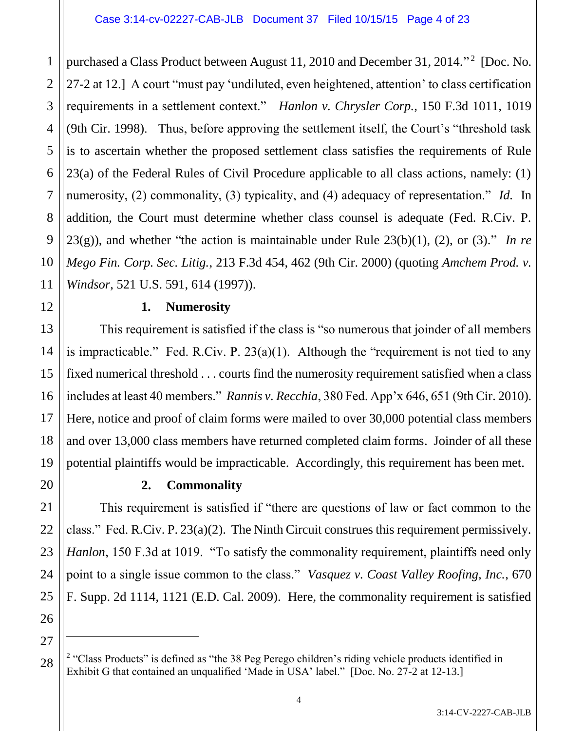1 2 3 4 purchased a Class Product between August 11, 2010 and December 31, 2014."<sup>2</sup> [Doc. No. 27-2 at 12.] A court "must pay 'undiluted, even heightened, attention' to class certification requirements in a settlement context." *Hanlon v. Chrysler Corp.*, 150 F.3d 1011, 1019 (9th Cir. 1998). Thus, before approving the settlement itself, the Court's "threshold task is to ascertain whether the proposed settlement class satisfies the requirements of Rule 23(a) of the Federal Rules of Civil Procedure applicable to all class actions, namely: (1) numerosity, (2) commonality, (3) typicality, and (4) adequacy of representation." *Id.* In addition, the Court must determine whether class counsel is adequate (Fed. R.Civ. P. 23(g)), and whether "the action is maintainable under Rule 23(b)(1), (2), or (3)." *In re Mego Fin. Corp. Sec. Litig.*, 213 F.3d 454, 462 (9th Cir. 2000) (quoting *Amchem Prod. v. Windsor*, 521 U.S. 591, 614 (1997)).

### **1. Numerosity**

This requirement is satisfied if the class is "so numerous that joinder of all members is impracticable." Fed. R.Civ. P.  $23(a)(1)$ . Although the "requirement is not tied to any fixed numerical threshold . . . courts find the numerosity requirement satisfied when a class includes at least 40 members." *Rannis v. Recchia*, 380 Fed. App'x 646, 651 (9th Cir. 2010). Here, notice and proof of claim forms were mailed to over 30,000 potential class members and over 13,000 class members have returned completed claim forms. Joinder of all these potential plaintiffs would be impracticable. Accordingly, this requirement has been met.

# **2. Commonality**

This requirement is satisfied if "there are questions of law or fact common to the class." Fed. R.Civ. P. 23(a)(2). The Ninth Circuit construes this requirement permissively. *Hanlon*, 150 F.3d at 1019. "To satisfy the commonality requirement, plaintiffs need only point to a single issue common to the class." *Vasquez v. Coast Valley Roofing, Inc.*, 670 F. Supp. 2d 1114, 1121 (E.D. Cal. 2009). Here, the commonality requirement is satisfied

 $\overline{a}$ 

<sup>&</sup>lt;sup>2</sup> "Class Products" is defined as "the 38 Peg Perego children's riding vehicle products identified in Exhibit G that contained an unqualified 'Made in USA' label." [Doc. No. 27-2 at 12-13.]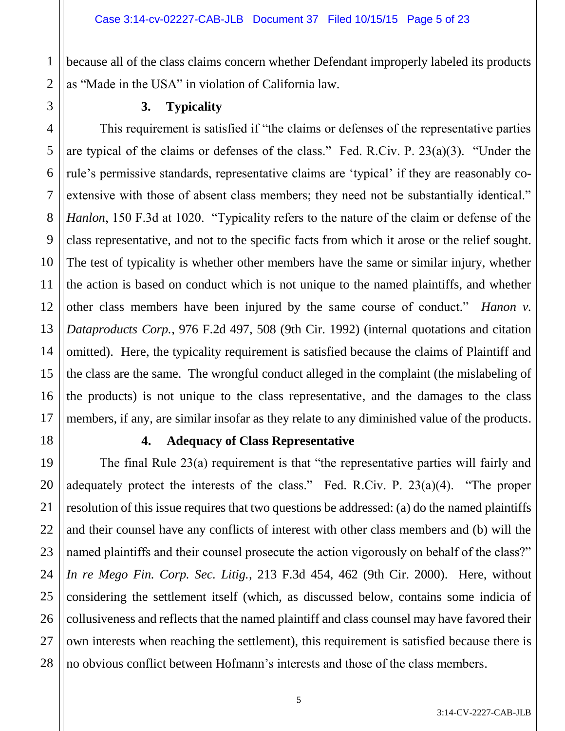because all of the class claims concern whether Defendant improperly labeled its products as "Made in the USA" in violation of California law.

1

# **3. Typicality**

This requirement is satisfied if "the claims or defenses of the representative parties are typical of the claims or defenses of the class." Fed. R.Civ. P. 23(a)(3). "Under the rule's permissive standards, representative claims are 'typical' if they are reasonably coextensive with those of absent class members; they need not be substantially identical." *Hanlon*, 150 F.3d at 1020. "Typicality refers to the nature of the claim or defense of the class representative, and not to the specific facts from which it arose or the relief sought. The test of typicality is whether other members have the same or similar injury, whether the action is based on conduct which is not unique to the named plaintiffs, and whether other class members have been injured by the same course of conduct." *Hanon v. Dataproducts Corp.*, 976 F.2d 497, 508 (9th Cir. 1992) (internal quotations and citation omitted). Here, the typicality requirement is satisfied because the claims of Plaintiff and the class are the same. The wrongful conduct alleged in the complaint (the mislabeling of the products) is not unique to the class representative, and the damages to the class members, if any, are similar insofar as they relate to any diminished value of the products.

### **4. Adequacy of Class Representative**

The final Rule 23(a) requirement is that "the representative parties will fairly and adequately protect the interests of the class." Fed. R.Civ. P. 23(a)(4). "The proper resolution of this issue requires that two questions be addressed: (a) do the named plaintiffs and their counsel have any conflicts of interest with other class members and (b) will the named plaintiffs and their counsel prosecute the action vigorously on behalf of the class?" *In re Mego Fin. Corp. Sec. Litig.*, 213 F.3d 454, 462 (9th Cir. 2000). Here, without considering the settlement itself (which, as discussed below, contains some indicia of collusiveness and reflects that the named plaintiff and class counsel may have favored their own interests when reaching the settlement), this requirement is satisfied because there is no obvious conflict between Hofmann's interests and those of the class members.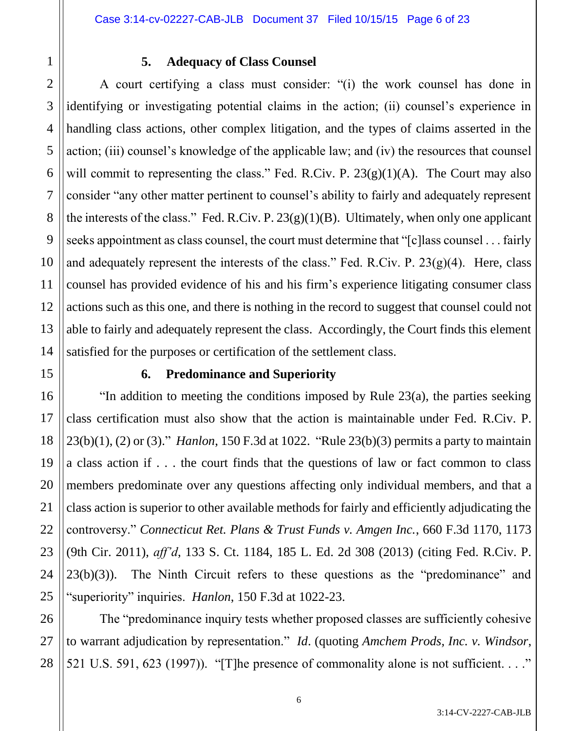3

4

5

6

7

8

9

10

11

12

13

14

15

16

17

18

19

20

21

22

23

24

25

26

27

28

# **5. Adequacy of Class Counsel**

A court certifying a class must consider: "(i) the work counsel has done in identifying or investigating potential claims in the action; (ii) counsel's experience in handling class actions, other complex litigation, and the types of claims asserted in the action; (iii) counsel's knowledge of the applicable law; and (iv) the resources that counsel will commit to representing the class." Fed. R.Civ. P.  $23(g)(1)(A)$ . The Court may also consider "any other matter pertinent to counsel's ability to fairly and adequately represent the interests of the class." Fed. R.Civ. P.  $23(g)(1)(B)$ . Ultimately, when only one applicant seeks appointment as class counsel, the court must determine that "[c]lass counsel . . . fairly and adequately represent the interests of the class." Fed. R.Civ. P.  $23(g)(4)$ . Here, class counsel has provided evidence of his and his firm's experience litigating consumer class actions such as this one, and there is nothing in the record to suggest that counsel could not able to fairly and adequately represent the class. Accordingly, the Court finds this element satisfied for the purposes or certification of the settlement class.

# **6. Predominance and Superiority**

"In addition to meeting the conditions imposed by Rule 23(a), the parties seeking class certification must also show that the action is maintainable under Fed. R.Civ. P. 23(b)(1), (2) or (3)." *Hanlon*, 150 F.3d at 1022. "Rule 23(b)(3) permits a party to maintain a class action if . . . the court finds that the questions of law or fact common to class members predominate over any questions affecting only individual members, and that a class action is superior to other available methods for fairly and efficiently adjudicating the controversy." *Connecticut Ret. Plans & Trust Funds v. Amgen Inc.*, 660 F.3d 1170, 1173 (9th Cir. 2011), *aff'd*, 133 S. Ct. 1184, 185 L. Ed. 2d 308 (2013) (citing Fed. R.Civ. P. 23(b)(3)). The Ninth Circuit refers to these questions as the "predominance" and "superiority" inquiries. *Hanlon*, 150 F.3d at 1022-23.

The "predominance inquiry tests whether proposed classes are sufficiently cohesive to warrant adjudication by representation." *Id*. (quoting *Amchem Prods, Inc. v. Windsor*, 521 U.S. 591, 623 (1997)). "[T]he presence of commonality alone is not sufficient. . . ."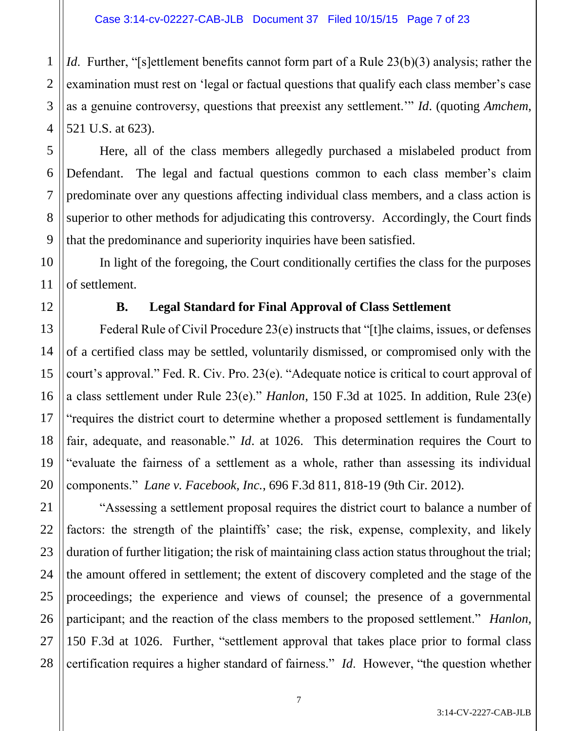1 2 3 4 *Id.* Further, "[s]ettlement benefits cannot form part of a Rule 23(b)(3) analysis; rather the examination must rest on 'legal or factual questions that qualify each class member's case as a genuine controversy, questions that preexist any settlement.'" *Id*. (quoting *Amchem*, 521 U.S. at 623).

Here, all of the class members allegedly purchased a mislabeled product from Defendant. The legal and factual questions common to each class member's claim predominate over any questions affecting individual class members, and a class action is superior to other methods for adjudicating this controversy. Accordingly, the Court finds that the predominance and superiority inquiries have been satisfied.

In light of the foregoing, the Court conditionally certifies the class for the purposes of settlement.

5

6

7

8

9

10

11

12

13

14

15

16

17

18

19

20

21

22

23

24

25

26

27

28

# **B. Legal Standard for Final Approval of Class Settlement**

Federal Rule of Civil Procedure 23(e) instructs that "[t]he claims, issues, or defenses of a certified class may be settled, voluntarily dismissed, or compromised only with the court's approval." Fed. R. Civ. Pro. 23(e). "Adequate notice is critical to court approval of a class settlement under Rule 23(e)." *Hanlon*, 150 F.3d at 1025. In addition, Rule 23(e) "requires the district court to determine whether a proposed settlement is fundamentally fair, adequate, and reasonable." *Id*. at 1026. This determination requires the Court to "evaluate the fairness of a settlement as a whole, rather than assessing its individual components." *Lane v. Facebook, Inc.*, 696 F.3d 811, 818-19 (9th Cir. 2012).

"Assessing a settlement proposal requires the district court to balance a number of factors: the strength of the plaintiffs' case; the risk, expense, complexity, and likely duration of further litigation; the risk of maintaining class action status throughout the trial; the amount offered in settlement; the extent of discovery completed and the stage of the proceedings; the experience and views of counsel; the presence of a governmental participant; and the reaction of the class members to the proposed settlement." *Hanlon*, 150 F.3d at 1026. Further, "settlement approval that takes place prior to formal class certification requires a higher standard of fairness." *Id*. However, "the question whether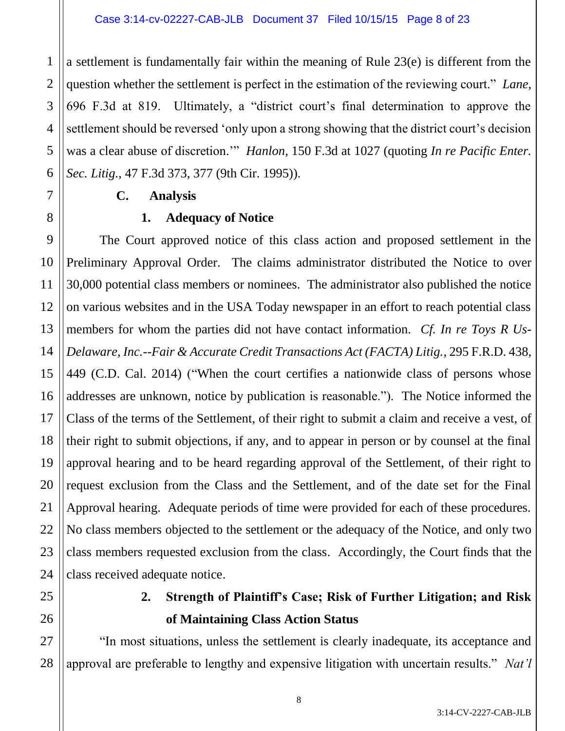1 2 3 4 5 6 a settlement is fundamentally fair within the meaning of Rule 23(e) is different from the question whether the settlement is perfect in the estimation of the reviewing court." *Lane*, 696 F.3d at 819. Ultimately, a "district court's final determination to approve the settlement should be reversed 'only upon a strong showing that the district court's decision was a clear abuse of discretion.'" *Hanlon*, 150 F.3d at 1027 (quoting *In re Pacific Enter. Sec. Litig.*, 47 F.3d 373, 377 (9th Cir. 1995)).

# **C. Analysis**

# **1. Adequacy of Notice**

9 10 11 12 13 14 15 16 17 18 19 20 21 22 23 The Court approved notice of this class action and proposed settlement in the Preliminary Approval Order. The claims administrator distributed the Notice to over 30,000 potential class members or nominees. The administrator also published the notice on various websites and in the USA Today newspaper in an effort to reach potential class members for whom the parties did not have contact information. *Cf. In re Toys R Us-Delaware, Inc.--Fair & Accurate Credit Transactions Act (FACTA) Litig.*, 295 F.R.D. 438, 449 (C.D. Cal. 2014) ("When the court certifies a nationwide class of persons whose addresses are unknown, notice by publication is reasonable."). The Notice informed the Class of the terms of the Settlement, of their right to submit a claim and receive a vest, of their right to submit objections, if any, and to appear in person or by counsel at the final approval hearing and to be heard regarding approval of the Settlement, of their right to request exclusion from the Class and the Settlement, and of the date set for the Final Approval hearing. Adequate periods of time were provided for each of these procedures. No class members objected to the settlement or the adequacy of the Notice, and only two class members requested exclusion from the class. Accordingly, the Court finds that the class received adequate notice.

7

8

# **2. Strength of Plaintiff's Case; Risk of Further Litigation; and Risk of Maintaining Class Action Status**

28 "In most situations, unless the settlement is clearly inadequate, its acceptance and approval are preferable to lengthy and expensive litigation with uncertain results." *Nat'l*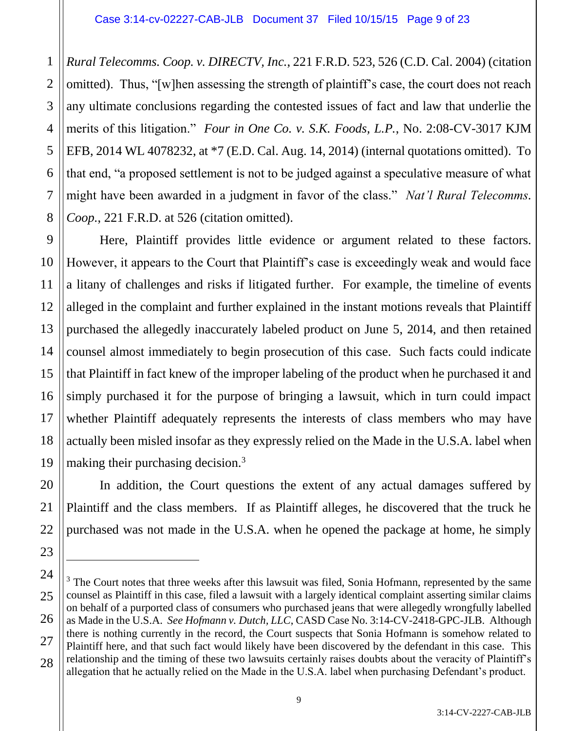2

3

5

6

7

8

9

10

11

12

13

15

17

20

21

22

23

 $\overline{a}$ 

4 *Rural Telecomms. Coop. v. DIRECTV, Inc.*, 221 F.R.D. 523, 526 (C.D. Cal. 2004) (citation omitted). Thus, "[w]hen assessing the strength of plaintiff's case, the court does not reach any ultimate conclusions regarding the contested issues of fact and law that underlie the merits of this litigation." *Four in One Co. v. S.K. Foods, L.P.*, No. 2:08-CV-3017 KJM EFB, 2014 WL 4078232, at \*7 (E.D. Cal. Aug. 14, 2014) (internal quotations omitted). To that end, "a proposed settlement is not to be judged against a speculative measure of what might have been awarded in a judgment in favor of the class." *Nat'l Rural Telecomms. Coop.*, 221 F.R.D. at 526 (citation omitted).

14 16 18 19 Here, Plaintiff provides little evidence or argument related to these factors. However, it appears to the Court that Plaintiff's case is exceedingly weak and would face a litany of challenges and risks if litigated further. For example, the timeline of events alleged in the complaint and further explained in the instant motions reveals that Plaintiff purchased the allegedly inaccurately labeled product on June 5, 2014, and then retained counsel almost immediately to begin prosecution of this case. Such facts could indicate that Plaintiff in fact knew of the improper labeling of the product when he purchased it and simply purchased it for the purpose of bringing a lawsuit, which in turn could impact whether Plaintiff adequately represents the interests of class members who may have actually been misled insofar as they expressly relied on the Made in the U.S.A. label when making their purchasing decision.<sup>3</sup>

In addition, the Court questions the extent of any actual damages suffered by Plaintiff and the class members. If as Plaintiff alleges, he discovered that the truck he purchased was not made in the U.S.A. when he opened the package at home, he simply

<sup>24</sup> 25 26 27 28 <sup>3</sup> The Court notes that three weeks after this lawsuit was filed, Sonia Hofmann, represented by the same counsel as Plaintiff in this case, filed a lawsuit with a largely identical complaint asserting similar claims on behalf of a purported class of consumers who purchased jeans that were allegedly wrongfully labelled as Made in the U.S.A. *See Hofmann v. Dutch, LLC*, CASD Case No. 3:14-CV-2418-GPC-JLB. Although there is nothing currently in the record, the Court suspects that Sonia Hofmann is somehow related to Plaintiff here, and that such fact would likely have been discovered by the defendant in this case. This relationship and the timing of these two lawsuits certainly raises doubts about the veracity of Plaintiff's allegation that he actually relied on the Made in the U.S.A. label when purchasing Defendant's product.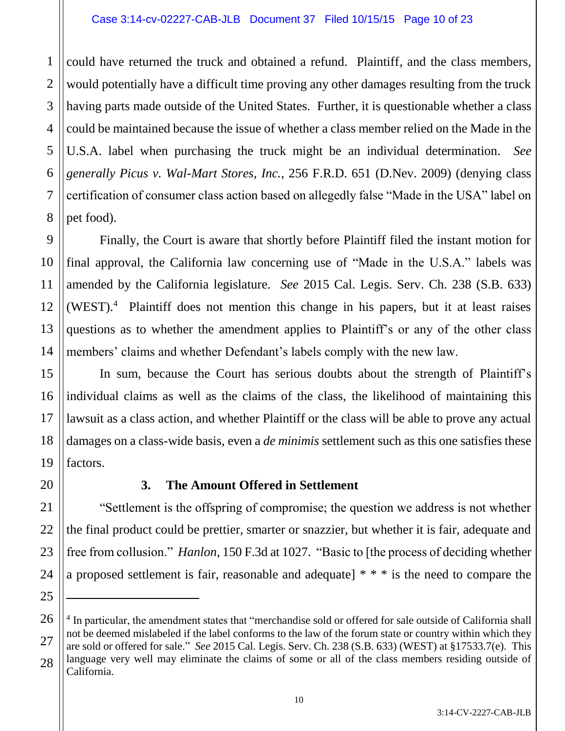#### Case 3:14-cv-02227-CAB-JLB Document 37 Filed 10/15/15 Page 10 of 23

1 2 3 4 5 6 7 8 could have returned the truck and obtained a refund. Plaintiff, and the class members, would potentially have a difficult time proving any other damages resulting from the truck having parts made outside of the United States. Further, it is questionable whether a class could be maintained because the issue of whether a class member relied on the Made in the U.S.A. label when purchasing the truck might be an individual determination. *See generally Picus v. Wal-Mart Stores, Inc.*, 256 F.R.D. 651 (D.Nev. 2009) (denying class certification of consumer class action based on allegedly false "Made in the USA" label on pet food).

10 14 Finally, the Court is aware that shortly before Plaintiff filed the instant motion for final approval, the California law concerning use of "Made in the U.S.A." labels was amended by the California legislature. *See* 2015 Cal. Legis. Serv. Ch. 238 (S.B. 633) (WEST). 4 Plaintiff does not mention this change in his papers, but it at least raises questions as to whether the amendment applies to Plaintiff's or any of the other class members' claims and whether Defendant's labels comply with the new law.

In sum, because the Court has serious doubts about the strength of Plaintiff's individual claims as well as the claims of the class, the likelihood of maintaining this lawsuit as a class action, and whether Plaintiff or the class will be able to prove any actual damages on a class-wide basis, even a *de minimis* settlement such as this one satisfies these factors.

20

9

11

12

13

15

16

17

18

19

21

22

23

24

25

 $\overline{a}$ 

# **3. The Amount Offered in Settlement**

"Settlement is the offspring of compromise; the question we address is not whether the final product could be prettier, smarter or snazzier, but whether it is fair, adequate and free from collusion." *Hanlon*, 150 F.3d at 1027. "Basic to [the process of deciding whether a proposed settlement is fair, reasonable and adequate] \* \* \* is the need to compare the

<sup>26</sup> 27 28 <sup>4</sup> In particular, the amendment states that "merchandise sold or offered for sale outside of California shall not be deemed mislabeled if the label conforms to the law of the forum state or country within which they are sold or offered for sale." *See* 2015 Cal. Legis. Serv. Ch. 238 (S.B. 633) (WEST) at §17533.7(e). This language very well may eliminate the claims of some or all of the class members residing outside of California.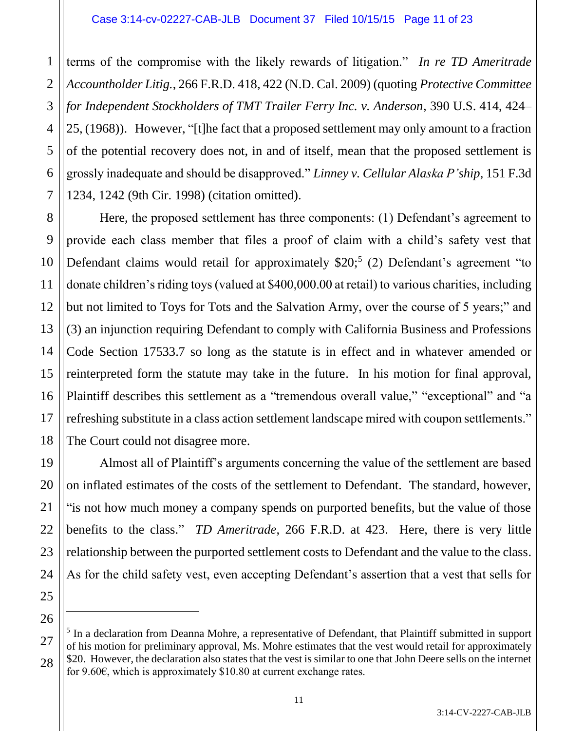1 2 3 4 5 6 7 terms of the compromise with the likely rewards of litigation." *In re TD Ameritrade Accountholder Litig.*, 266 F.R.D. 418, 422 (N.D. Cal. 2009) (quoting *Protective Committee for Independent Stockholders of TMT Trailer Ferry Inc. v. Anderson*, 390 U.S. 414, 424– 25, (1968)). However, "[t]he fact that a proposed settlement may only amount to a fraction of the potential recovery does not, in and of itself, mean that the proposed settlement is grossly inadequate and should be disapproved." *Linney v. Cellular Alaska P'ship*, 151 F.3d 1234, 1242 (9th Cir. 1998) (citation omitted).

8 9 10 12 13 14 15 16 17 18 Here, the proposed settlement has three components: (1) Defendant's agreement to provide each class member that files a proof of claim with a child's safety vest that Defendant claims would retail for approximately  $$20;^5$  (2) Defendant's agreement "to donate children's riding toys (valued at \$400,000.00 at retail) to various charities, including but not limited to Toys for Tots and the Salvation Army, over the course of 5 years;" and (3) an injunction requiring Defendant to comply with California Business and Professions Code Section 17533.7 so long as the statute is in effect and in whatever amended or reinterpreted form the statute may take in the future. In his motion for final approval, Plaintiff describes this settlement as a "tremendous overall value," "exceptional" and "a refreshing substitute in a class action settlement landscape mired with coupon settlements." The Court could not disagree more.

Almost all of Plaintiff's arguments concerning the value of the settlement are based on inflated estimates of the costs of the settlement to Defendant. The standard, however, "is not how much money a company spends on purported benefits, but the value of those benefits to the class." *TD Ameritrade*, 266 F.R.D. at 423. Here, there is very little relationship between the purported settlement costs to Defendant and the value to the class. As for the child safety vest, even accepting Defendant's assertion that a vest that sells for

 $\overline{a}$ 

19

20

11

<sup>21</sup> 22 23 24 25 26 27 28

<sup>&</sup>lt;sup>5</sup> In a declaration from Deanna Mohre, a representative of Defendant, that Plaintiff submitted in support of his motion for preliminary approval, Ms. Mohre estimates that the vest would retail for approximately \$20. However, the declaration also states that the vest is similar to one that John Deere sells on the internet for 9.60 $\epsilon$ , which is approximately \$10.80 at current exchange rates.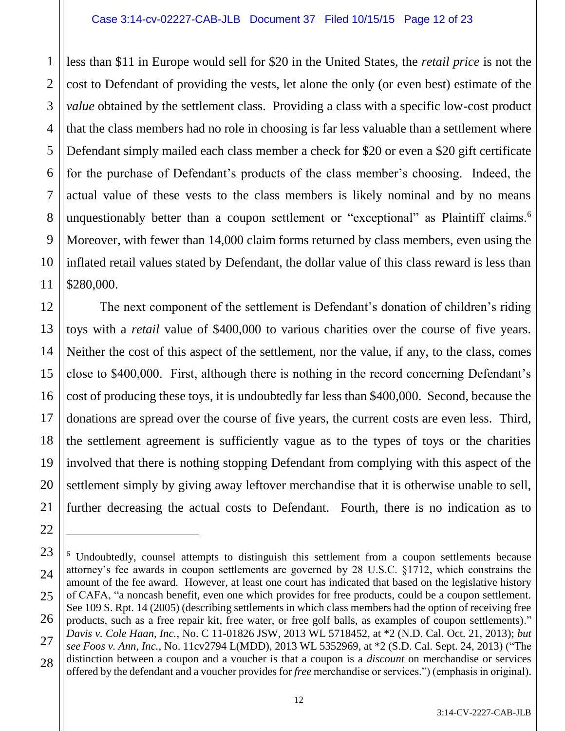2

3

5

6

7

8

9

11

22

 $\overline{a}$ 

4 10 less than \$11 in Europe would sell for \$20 in the United States, the *retail price* is not the cost to Defendant of providing the vests, let alone the only (or even best) estimate of the *value* obtained by the settlement class. Providing a class with a specific low-cost product that the class members had no role in choosing is far less valuable than a settlement where Defendant simply mailed each class member a check for \$20 or even a \$20 gift certificate for the purchase of Defendant's products of the class member's choosing. Indeed, the actual value of these vests to the class members is likely nominal and by no means unquestionably better than a coupon settlement or "exceptional" as Plaintiff claims.<sup>6</sup> Moreover, with fewer than 14,000 claim forms returned by class members, even using the inflated retail values stated by Defendant, the dollar value of this class reward is less than \$280,000.

12 13 14 15 16 17 18 19 20 21 The next component of the settlement is Defendant's donation of children's riding toys with a *retail* value of \$400,000 to various charities over the course of five years. Neither the cost of this aspect of the settlement, nor the value, if any, to the class, comes close to \$400,000. First, although there is nothing in the record concerning Defendant's cost of producing these toys, it is undoubtedly far less than \$400,000. Second, because the donations are spread over the course of five years, the current costs are even less. Third, the settlement agreement is sufficiently vague as to the types of toys or the charities involved that there is nothing stopping Defendant from complying with this aspect of the settlement simply by giving away leftover merchandise that it is otherwise unable to sell, further decreasing the actual costs to Defendant. Fourth, there is no indication as to

<sup>23</sup> 24 25 26 27 28 <sup>6</sup> Undoubtedly, counsel attempts to distinguish this settlement from a coupon settlements because attorney's fee awards in coupon settlements are governed by 28 U.S.C. §1712, which constrains the amount of the fee award. However, at least one court has indicated that based on the legislative history of CAFA, "a noncash benefit, even one which provides for free products, could be a coupon settlement. See 109 S. Rpt. 14 (2005) (describing settlements in which class members had the option of receiving free products, such as a free repair kit, free water, or free golf balls, as examples of coupon settlements)." *Davis v. Cole Haan, Inc.*, No. C 11-01826 JSW, 2013 WL 5718452, at \*2 (N.D. Cal. Oct. 21, 2013); *but see Foos v. Ann, Inc.*, No. 11cv2794 L(MDD), 2013 WL 5352969, at \*2 (S.D. Cal. Sept. 24, 2013) ("The distinction between a coupon and a voucher is that a coupon is a *discount* on merchandise or services offered by the defendant and a voucher provides for *free* merchandise or services.") (emphasis in original).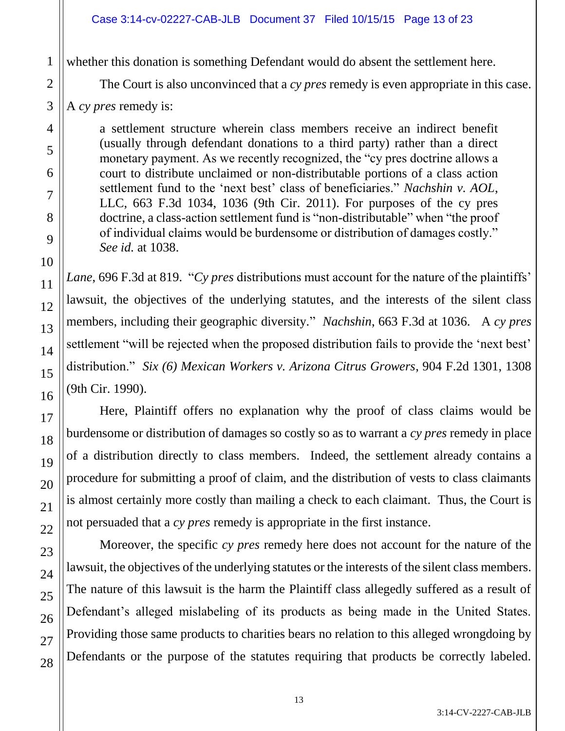whether this donation is something Defendant would do absent the settlement here.

The Court is also unconvinced that a *cy pres* remedy is even appropriate in this case.

A *cy pres* remedy is:

a settlement structure wherein class members receive an indirect benefit (usually through defendant donations to a third party) rather than a direct monetary payment. As we recently recognized, the "cy pres doctrine allows a court to distribute unclaimed or non-distributable portions of a class action settlement fund to the 'next best' class of beneficiaries." *Nachshin v. AOL*, LLC, 663 F.3d 1034, 1036 (9th Cir. 2011). For purposes of the cy pres doctrine, a class-action settlement fund is "non-distributable" when "the proof of individual claims would be burdensome or distribution of damages costly." *See id.* at 1038.

*Lane*, 696 F.3d at 819. "*Cy pres* distributions must account for the nature of the plaintiffs' lawsuit, the objectives of the underlying statutes, and the interests of the silent class members, including their geographic diversity." *Nachshin*, 663 F.3d at 1036. A *cy pres* settlement "will be rejected when the proposed distribution fails to provide the 'next best' distribution." *Six (6) Mexican Workers v. Arizona Citrus Growers*, 904 F.2d 1301, 1308 (9th Cir. 1990).

Here, Plaintiff offers no explanation why the proof of class claims would be burdensome or distribution of damages so costly so as to warrant a *cy pres* remedy in place of a distribution directly to class members. Indeed, the settlement already contains a procedure for submitting a proof of claim, and the distribution of vests to class claimants is almost certainly more costly than mailing a check to each claimant. Thus, the Court is not persuaded that a *cy pres* remedy is appropriate in the first instance.

Moreover, the specific *cy pres* remedy here does not account for the nature of the lawsuit, the objectives of the underlying statutes or the interests of the silent class members. The nature of this lawsuit is the harm the Plaintiff class allegedly suffered as a result of Defendant's alleged mislabeling of its products as being made in the United States. Providing those same products to charities bears no relation to this alleged wrongdoing by Defendants or the purpose of the statutes requiring that products be correctly labeled.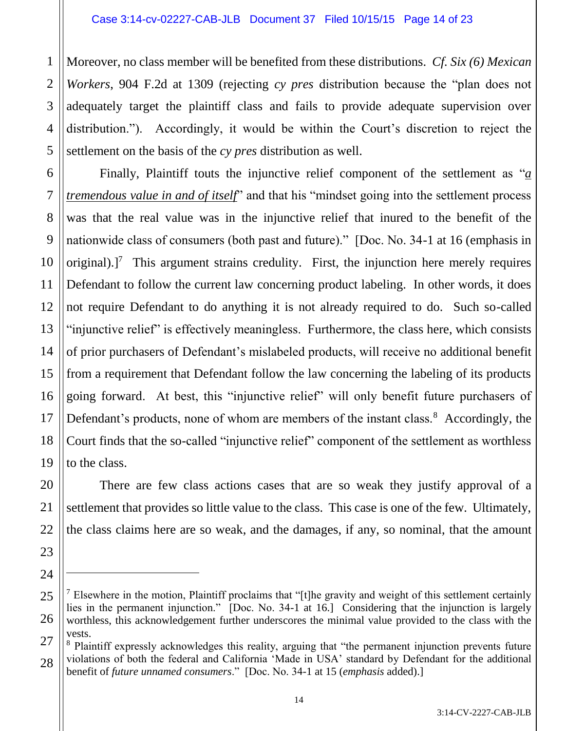20

21

22

23

24

 $\overline{a}$ 

2 3 4 5 Moreover, no class member will be benefited from these distributions. *Cf. Six (6) Mexican Workers*, 904 F.2d at 1309 (rejecting *cy pres* distribution because the "plan does not adequately target the plaintiff class and fails to provide adequate supervision over distribution."). Accordingly, it would be within the Court's discretion to reject the settlement on the basis of the *cy pres* distribution as well.

6 7 8 9 10 11 12 13 14 15 16 17 18 19 Finally, Plaintiff touts the injunctive relief component of the settlement as "*a tremendous value in and of itself*" and that his "mindset going into the settlement process was that the real value was in the injunctive relief that inured to the benefit of the nationwide class of consumers (both past and future)." [Doc. No. 34-1 at 16 (emphasis in original).]<sup>7</sup> This argument strains credulity. First, the injunction here merely requires Defendant to follow the current law concerning product labeling. In other words, it does not require Defendant to do anything it is not already required to do. Such so-called "injunctive relief" is effectively meaningless. Furthermore, the class here, which consists of prior purchasers of Defendant's mislabeled products, will receive no additional benefit from a requirement that Defendant follow the law concerning the labeling of its products going forward. At best, this "injunctive relief" will only benefit future purchasers of Defendant's products, none of whom are members of the instant class.<sup>8</sup> Accordingly, the Court finds that the so-called "injunctive relief" component of the settlement as worthless to the class.

There are few class actions cases that are so weak they justify approval of a settlement that provides so little value to the class. This case is one of the few. Ultimately, the class claims here are so weak, and the damages, if any, so nominal, that the amount

14

<sup>25</sup> 26  $<sup>7</sup>$  Elsewhere in the motion, Plaintiff proclaims that "[t]he gravity and weight of this settlement certainly</sup> lies in the permanent injunction." [Doc. No. 34-1 at 16.] Considering that the injunction is largely worthless, this acknowledgement further underscores the minimal value provided to the class with the vests.

<sup>27</sup> 28 <sup>8</sup> Plaintiff expressly acknowledges this reality, arguing that "the permanent injunction prevents future violations of both the federal and California 'Made in USA' standard by Defendant for the additional benefit of *future unnamed consumers*." [Doc. No. 34-1 at 15 (*emphasis* added).]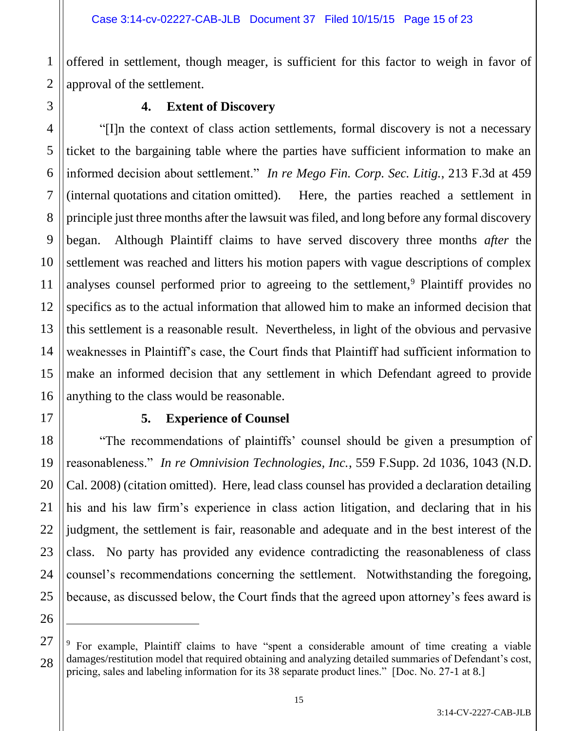1 offered in settlement, though meager, is sufficient for this factor to weigh in favor of approval of the settlement.

# **4. Extent of Discovery**

"[I]n the context of class action settlements, formal discovery is not a necessary ticket to the bargaining table where the parties have sufficient information to make an informed decision about settlement." *In re Mego Fin. Corp. Sec. Litig.*, 213 F.3d at 459 (internal quotations and citation omitted). Here, the parties reached a settlement in principle just three months after the lawsuit was filed, and long before any formal discovery began. Although Plaintiff claims to have served discovery three months *after* the settlement was reached and litters his motion papers with vague descriptions of complex analyses counsel performed prior to agreeing to the settlement,<sup>9</sup> Plaintiff provides no specifics as to the actual information that allowed him to make an informed decision that this settlement is a reasonable result. Nevertheless, in light of the obvious and pervasive weaknesses in Plaintiff's case, the Court finds that Plaintiff had sufficient information to make an informed decision that any settlement in which Defendant agreed to provide anything to the class would be reasonable.

### **5. Experience of Counsel**

"The recommendations of plaintiffs' counsel should be given a presumption of reasonableness." *In re Omnivision Technologies, Inc.*, 559 F.Supp. 2d 1036, 1043 (N.D. Cal. 2008) (citation omitted). Here, lead class counsel has provided a declaration detailing his and his law firm's experience in class action litigation, and declaring that in his judgment, the settlement is fair, reasonable and adequate and in the best interest of the class. No party has provided any evidence contradicting the reasonableness of class counsel's recommendations concerning the settlement. Notwithstanding the foregoing, because, as discussed below, the Court finds that the agreed upon attorney's fees award is

 $\overline{a}$ 

<sup>9</sup> For example, Plaintiff claims to have "spent a considerable amount of time creating a viable damages/restitution model that required obtaining and analyzing detailed summaries of Defendant's cost, pricing, sales and labeling information for its 38 separate product lines." [Doc. No. 27-1 at 8.]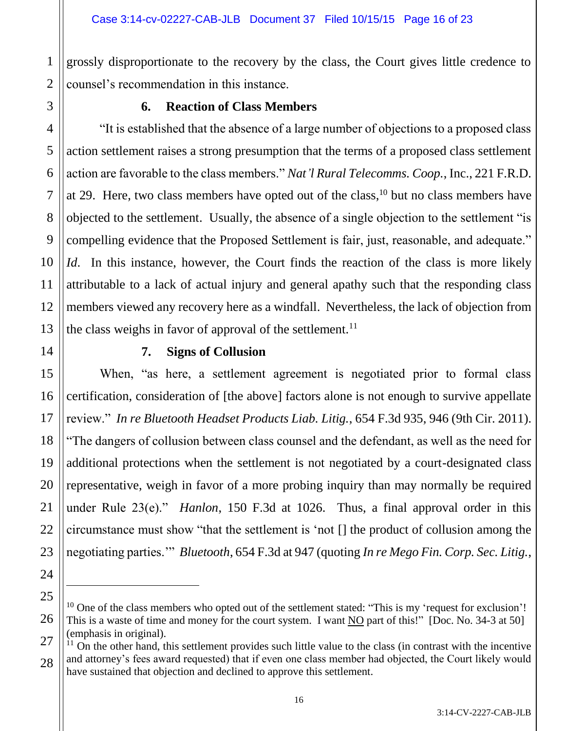2 grossly disproportionate to the recovery by the class, the Court gives little credence to counsel's recommendation in this instance.

1

3

4

5

6

7

8

9

10

11

12

13

15

16

17

18

19

20

21

22

23

24

 $\overline{a}$ 

# **6. Reaction of Class Members**

"It is established that the absence of a large number of objections to a proposed class action settlement raises a strong presumption that the terms of a proposed class settlement action are favorable to the class members." *Nat'l Rural Telecomms. Coop.*, Inc., 221 F.R.D. at 29. Here, two class members have opted out of the class, <sup>10</sup> but no class members have objected to the settlement. Usually, the absence of a single objection to the settlement "is compelling evidence that the Proposed Settlement is fair, just, reasonable, and adequate." *Id*. In this instance, however, the Court finds the reaction of the class is more likely attributable to a lack of actual injury and general apathy such that the responding class members viewed any recovery here as a windfall. Nevertheless, the lack of objection from the class weighs in favor of approval of the settlement.<sup>11</sup>

14

# **7. Signs of Collusion**

When, "as here, a settlement agreement is negotiated prior to formal class certification, consideration of [the above] factors alone is not enough to survive appellate review." *In re Bluetooth Headset Products Liab. Litig.*, 654 F.3d 935, 946 (9th Cir. 2011). "The dangers of collusion between class counsel and the defendant, as well as the need for additional protections when the settlement is not negotiated by a court-designated class representative, weigh in favor of a more probing inquiry than may normally be required under Rule 23(e)." *Hanlon*, 150 F.3d at 1026. Thus, a final approval order in this circumstance must show "that the settlement is 'not [] the product of collusion among the negotiating parties.'" *Bluetooth*, 654 F.3d at 947 (quoting *In re Mego Fin. Corp. Sec. Litig.*,

<sup>25</sup> 26  $10$  One of the class members who opted out of the settlement stated: "This is my 'request for exclusion'! This is a waste of time and money for the court system. I want NO part of this!" [Doc. No. 34-3 at 50] (emphasis in original).

<sup>27</sup> 28  $11$  On the other hand, this settlement provides such little value to the class (in contrast with the incentive and attorney's fees award requested) that if even one class member had objected, the Court likely would have sustained that objection and declined to approve this settlement.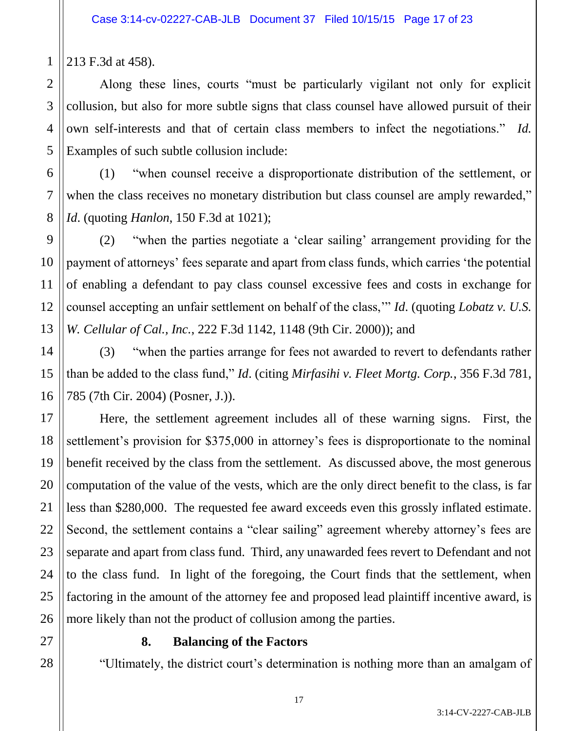213 F.3d at 458).

1

2

3

4

5

6

7

8

9

10

11

12

13

14

15

16

21

Along these lines, courts "must be particularly vigilant not only for explicit collusion, but also for more subtle signs that class counsel have allowed pursuit of their own self-interests and that of certain class members to infect the negotiations." *Id.* Examples of such subtle collusion include:

(1) "when counsel receive a disproportionate distribution of the settlement, or when the class receives no monetary distribution but class counsel are amply rewarded," *Id*. (quoting *Hanlon*, 150 F.3d at 1021);

(2) "when the parties negotiate a 'clear sailing' arrangement providing for the payment of attorneys' fees separate and apart from class funds, which carries 'the potential of enabling a defendant to pay class counsel excessive fees and costs in exchange for counsel accepting an unfair settlement on behalf of the class,'" *Id*. (quoting *Lobatz v. U.S. W. Cellular of Cal., Inc.*, 222 F.3d 1142, 1148 (9th Cir. 2000)); and

(3) "when the parties arrange for fees not awarded to revert to defendants rather than be added to the class fund," *Id*. (citing *Mirfasihi v. Fleet Mortg. Corp.*, 356 F.3d 781, 785 (7th Cir. 2004) (Posner, J.)).

17 18 19 20 22 23 24 25 26 Here, the settlement agreement includes all of these warning signs. First, the settlement's provision for \$375,000 in attorney's fees is disproportionate to the nominal benefit received by the class from the settlement. As discussed above, the most generous computation of the value of the vests, which are the only direct benefit to the class, is far less than \$280,000. The requested fee award exceeds even this grossly inflated estimate. Second, the settlement contains a "clear sailing" agreement whereby attorney's fees are separate and apart from class fund. Third, any unawarded fees revert to Defendant and not to the class fund. In light of the foregoing, the Court finds that the settlement, when factoring in the amount of the attorney fee and proposed lead plaintiff incentive award, is more likely than not the product of collusion among the parties.

27

28

# **8. Balancing of the Factors**

"Ultimately, the district court's determination is nothing more than an amalgam of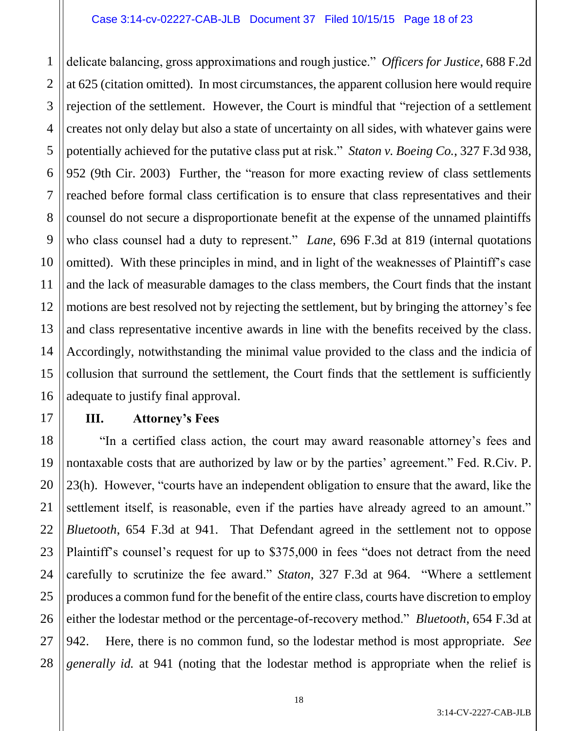#### Case 3:14-cv-02227-CAB-JLB Document 37 Filed 10/15/15 Page 18 of 23

1 2 3 4 5 6 7 8 9 10 11 12 13 14 15 16 delicate balancing, gross approximations and rough justice." *Officers for Justice*, 688 F.2d at 625 (citation omitted). In most circumstances, the apparent collusion here would require rejection of the settlement. However, the Court is mindful that "rejection of a settlement creates not only delay but also a state of uncertainty on all sides, with whatever gains were potentially achieved for the putative class put at risk." *Staton v. Boeing Co.*, 327 F.3d 938, 952 (9th Cir. 2003) Further, the "reason for more exacting review of class settlements reached before formal class certification is to ensure that class representatives and their counsel do not secure a disproportionate benefit at the expense of the unnamed plaintiffs who class counsel had a duty to represent." *Lane*, 696 F.3d at 819 (internal quotations omitted). With these principles in mind, and in light of the weaknesses of Plaintiff's case and the lack of measurable damages to the class members, the Court finds that the instant motions are best resolved not by rejecting the settlement, but by bringing the attorney's fee and class representative incentive awards in line with the benefits received by the class. Accordingly, notwithstanding the minimal value provided to the class and the indicia of collusion that surround the settlement, the Court finds that the settlement is sufficiently adequate to justify final approval.

# **III. Attorney's Fees**

17

18 19 20 21 22 23 24 25 26 27 28 "In a certified class action, the court may award reasonable attorney's fees and nontaxable costs that are authorized by law or by the parties' agreement." Fed. R.Civ. P. 23(h). However, "courts have an independent obligation to ensure that the award, like the settlement itself, is reasonable, even if the parties have already agreed to an amount." *Bluetooth*, 654 F.3d at 941. That Defendant agreed in the settlement not to oppose Plaintiff's counsel's request for up to \$375,000 in fees "does not detract from the need carefully to scrutinize the fee award." *Staton*, 327 F.3d at 964. "Where a settlement produces a common fund for the benefit of the entire class, courts have discretion to employ either the lodestar method or the percentage-of-recovery method." *Bluetooth*, 654 F.3d at 942. Here, there is no common fund, so the lodestar method is most appropriate. *See generally id.* at 941 (noting that the lodestar method is appropriate when the relief is

3:14-CV-2227-CAB-JLB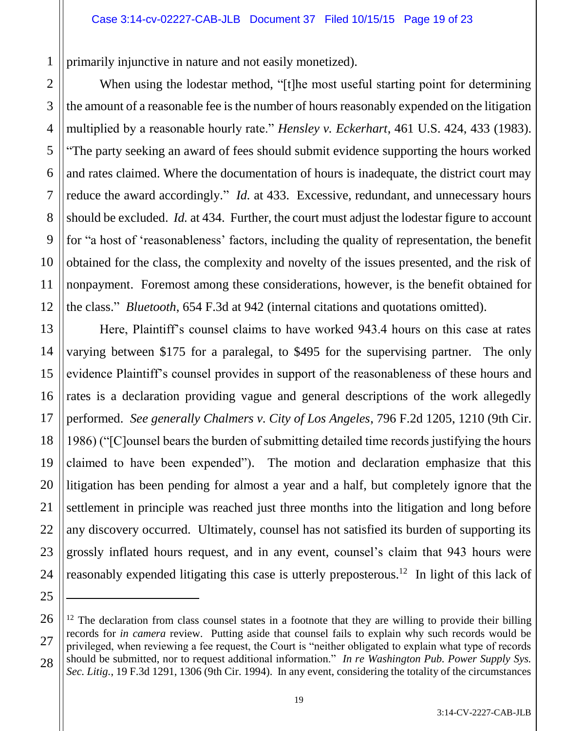primarily injunctive in nature and not easily monetized).

1

2

3

4

5

6

7

8

9

10

11

12

13

15

17

19

20

21

22

23

25

 $\overline{a}$ 

When using the lodestar method, "[t]he most useful starting point for determining the amount of a reasonable fee is the number of hours reasonably expended on the litigation multiplied by a reasonable hourly rate." *Hensley v. Eckerhart*, 461 U.S. 424, 433 (1983). "The party seeking an award of fees should submit evidence supporting the hours worked and rates claimed. Where the documentation of hours is inadequate, the district court may reduce the award accordingly." *Id.* at 433. Excessive, redundant, and unnecessary hours should be excluded. *Id.* at 434. Further, the court must adjust the lodestar figure to account for "a host of 'reasonableness' factors, including the quality of representation, the benefit obtained for the class, the complexity and novelty of the issues presented, and the risk of nonpayment. Foremost among these considerations, however, is the benefit obtained for the class." *Bluetooth*, 654 F.3d at 942 (internal citations and quotations omitted).

14 16 18 24 Here, Plaintiff's counsel claims to have worked 943.4 hours on this case at rates varying between \$175 for a paralegal, to \$495 for the supervising partner. The only evidence Plaintiff's counsel provides in support of the reasonableness of these hours and rates is a declaration providing vague and general descriptions of the work allegedly performed. *See generally Chalmers v. City of Los Angeles*, 796 F.2d 1205, 1210 (9th Cir. 1986) ("[C]ounsel bears the burden of submitting detailed time records justifying the hours claimed to have been expended"). The motion and declaration emphasize that this litigation has been pending for almost a year and a half, but completely ignore that the settlement in principle was reached just three months into the litigation and long before any discovery occurred. Ultimately, counsel has not satisfied its burden of supporting its grossly inflated hours request, and in any event, counsel's claim that 943 hours were reasonably expended litigating this case is utterly preposterous.<sup>12</sup> In light of this lack of

<sup>26</sup> 27 28  $12$  The declaration from class counsel states in a footnote that they are willing to provide their billing records for *in camera* review. Putting aside that counsel fails to explain why such records would be privileged, when reviewing a fee request, the Court is "neither obligated to explain what type of records should be submitted, nor to request additional information." *In re Washington Pub. Power Supply Sys. Sec. Litig.*, 19 F.3d 1291, 1306 (9th Cir. 1994). In any event, considering the totality of the circumstances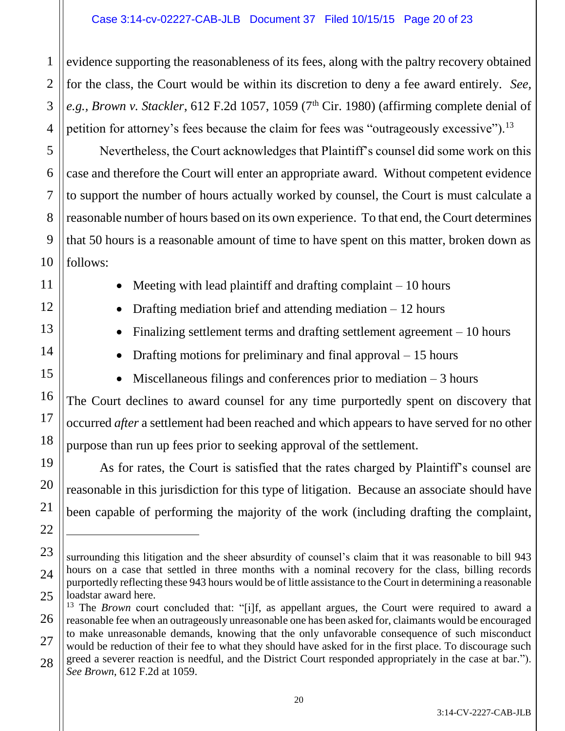2

3

4

5

6

7

8

9

10

11

12

13

14

15

16

17

18

19

20

21

22

 $\overline{a}$ 

23

24

evidence supporting the reasonableness of its fees, along with the paltry recovery obtained for the class, the Court would be within its discretion to deny a fee award entirely. *See, e.g., Brown v. Stackler*, 612 F.2d 1057, 1059 ( $7<sup>th</sup>$  Cir. 1980) (affirming complete denial of petition for attorney's fees because the claim for fees was "outrageously excessive").<sup>13</sup>

Nevertheless, the Court acknowledges that Plaintiff's counsel did some work on this case and therefore the Court will enter an appropriate award. Without competent evidence to support the number of hours actually worked by counsel, the Court is must calculate a reasonable number of hours based on its own experience. To that end, the Court determines that 50 hours is a reasonable amount of time to have spent on this matter, broken down as follows:

- Meeting with lead plaintiff and drafting complaint  $-10$  hours
- Drafting mediation brief and attending mediation  $-12$  hours
- Finalizing settlement terms and drafting settlement agreement 10 hours
- Drafting motions for preliminary and final approval  $-15$  hours
- $\bullet$  Miscellaneous filings and conferences prior to mediation  $-3$  hours

The Court declines to award counsel for any time purportedly spent on discovery that occurred *after* a settlement had been reached and which appears to have served for no other purpose than run up fees prior to seeking approval of the settlement.

As for rates, the Court is satisfied that the rates charged by Plaintiff's counsel are reasonable in this jurisdiction for this type of litigation. Because an associate should have been capable of performing the majority of the work (including drafting the complaint,

surrounding this litigation and the sheer absurdity of counsel's claim that it was reasonable to bill 943 hours on a case that settled in three months with a nominal recovery for the class, billing records purportedly reflecting these 943 hours would be of little assistance to the Court in determining a reasonable loadstar award here.

<sup>25</sup> 26 27 28 <sup>13</sup> The *Brown* court concluded that: "[i]f, as appellant argues, the Court were required to award a reasonable fee when an outrageously unreasonable one has been asked for, claimants would be encouraged to make unreasonable demands, knowing that the only unfavorable consequence of such misconduct would be reduction of their fee to what they should have asked for in the first place. To discourage such greed a severer reaction is needful, and the District Court responded appropriately in the case at bar."). *See Brown*, 612 F.2d at 1059.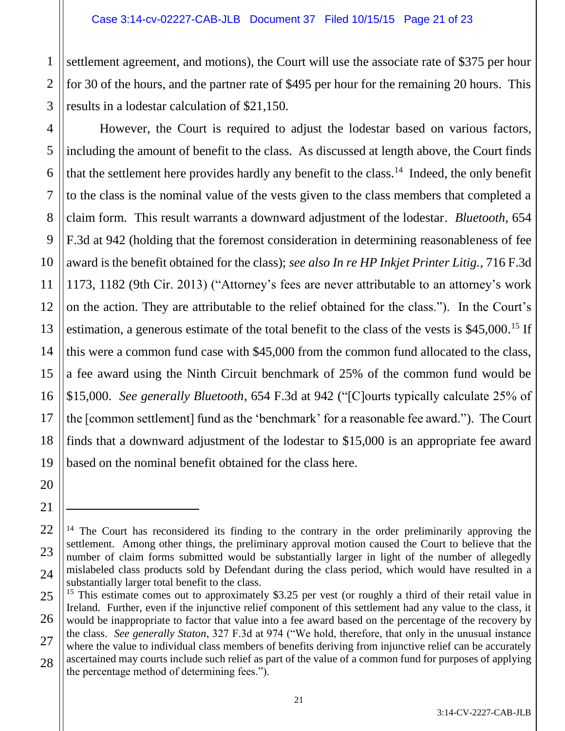settlement agreement, and motions), the Court will use the associate rate of \$375 per hour for 30 of the hours, and the partner rate of \$495 per hour for the remaining 20 hours. This results in a lodestar calculation of \$21,150.

However, the Court is required to adjust the lodestar based on various factors, including the amount of benefit to the class. As discussed at length above, the Court finds that the settlement here provides hardly any benefit to the class.<sup>14</sup> Indeed, the only benefit to the class is the nominal value of the vests given to the class members that completed a claim form. This result warrants a downward adjustment of the lodestar. *Bluetooth*, 654 F.3d at 942 (holding that the foremost consideration in determining reasonableness of fee award is the benefit obtained for the class); *see also In re HP Inkjet Printer Litig.*, 716 F.3d 1173, 1182 (9th Cir. 2013) ("Attorney's fees are never attributable to an attorney's work on the action. They are attributable to the relief obtained for the class."). In the Court's estimation, a generous estimate of the total benefit to the class of the vests is \$45,000.<sup>15</sup> If this were a common fund case with \$45,000 from the common fund allocated to the class, a fee award using the Ninth Circuit benchmark of 25% of the common fund would be \$15,000. *See generally Bluetooth*, 654 F.3d at 942 ("[C]ourts typically calculate 25% of the [common settlement] fund as the 'benchmark' for a reasonable fee award."). The Court finds that a downward adjustment of the lodestar to \$15,000 is an appropriate fee award based on the nominal benefit obtained for the class here.

 $\overline{a}$ 

<sup>&</sup>lt;sup>14</sup> The Court has reconsidered its finding to the contrary in the order preliminarily approving the settlement. Among other things, the preliminary approval motion caused the Court to believe that the number of claim forms submitted would be substantially larger in light of the number of allegedly mislabeled class products sold by Defendant during the class period, which would have resulted in a substantially larger total benefit to the class.

<sup>&</sup>lt;sup>15</sup> This estimate comes out to approximately \$3.25 per vest (or roughly a third of their retail value in Ireland. Further, even if the injunctive relief component of this settlement had any value to the class, it would be inappropriate to factor that value into a fee award based on the percentage of the recovery by the class. *See generally Staton*, 327 F.3d at 974 ("We hold, therefore, that only in the unusual instance where the value to individual class members of benefits deriving from injunctive relief can be accurately ascertained may courts include such relief as part of the value of a common fund for purposes of applying the percentage method of determining fees.").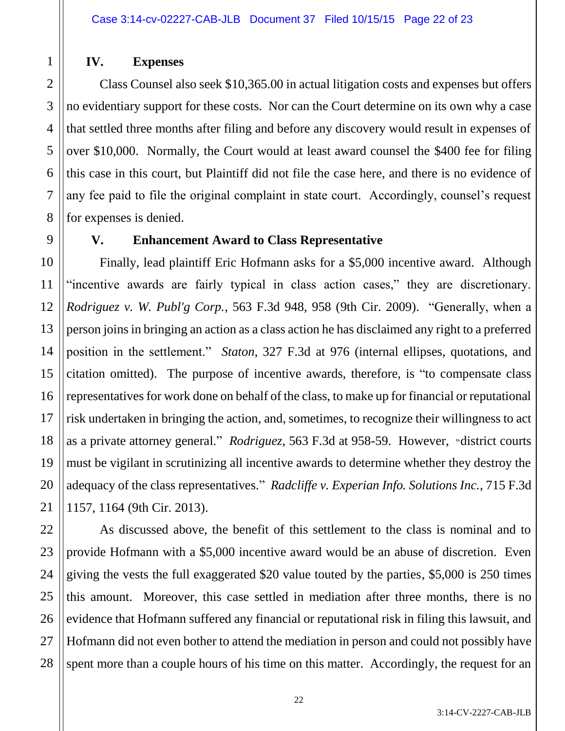# **IV. Expenses**

Class Counsel also seek \$10,365.00 in actual litigation costs and expenses but offers no evidentiary support for these costs. Nor can the Court determine on its own why a case that settled three months after filing and before any discovery would result in expenses of over \$10,000. Normally, the Court would at least award counsel the \$400 fee for filing this case in this court, but Plaintiff did not file the case here, and there is no evidence of any fee paid to file the original complaint in state court. Accordingly, counsel's request for expenses is denied.

1

# **V. Enhancement Award to Class Representative**

Finally, lead plaintiff Eric Hofmann asks for a \$5,000 incentive award. Although "incentive awards are fairly typical in class action cases," they are discretionary. *Rodriguez v. W. Publ'g Corp.*, 563 F.3d 948, 958 (9th Cir. 2009). "Generally, when a person joins in bringing an action as a class action he has disclaimed any right to a preferred position in the settlement." *Staton*, 327 F.3d at 976 (internal ellipses, quotations, and citation omitted). The purpose of incentive awards, therefore, is "to compensate class representatives for work done on behalf of the class, to make up for financial or reputational risk undertaken in bringing the action, and, sometimes, to recognize their willingness to act as a private attorney general." *Rodriguez*, 563 F.3d at 958-59. However, "district courts must be vigilant in scrutinizing all incentive awards to determine whether they destroy the adequacy of the class representatives." *Radcliffe v. Experian Info. Solutions Inc.*, 715 F.3d 1157, 1164 (9th Cir. 2013).

As discussed above, the benefit of this settlement to the class is nominal and to provide Hofmann with a \$5,000 incentive award would be an abuse of discretion. Even giving the vests the full exaggerated \$20 value touted by the parties, \$5,000 is 250 times this amount. Moreover, this case settled in mediation after three months, there is no evidence that Hofmann suffered any financial or reputational risk in filing this lawsuit, and Hofmann did not even bother to attend the mediation in person and could not possibly have spent more than a couple hours of his time on this matter. Accordingly, the request for an